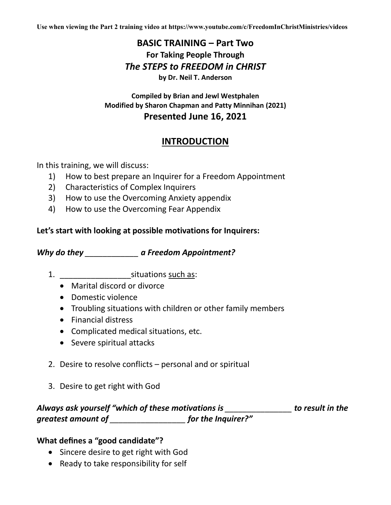**Use when viewing the Part 2 training video at https://www.youtube.com/c/FreedomInChristMinistries/videos**

## **BASIC TRAINING – Part Two For Taking People Through** *The STEPS to FREEDOM in CHRIST* **by Dr. Neil T. Anderson**

#### **Compiled by Brian and Jewl Westphalen Modified by Sharon Chapman and Patty Minnihan (2021) Presented June 16, 2021**

# **INTRODUCTION**

In this training, we will discuss:

- 1) How to best prepare an Inquirer for a Freedom Appointment
- 2) Characteristics of Complex Inquirers
- 3) How to use the Overcoming Anxiety appendix
- 4) How to use the Overcoming Fear Appendix

#### **Let's start with looking at possible motivations for Inquirers:**

*Why do they \_\_\_\_\_\_\_\_\_\_\_\_ a Freedom Appointment?*

- 1. \_\_\_\_\_\_\_\_\_\_\_\_\_\_\_\_situations such as:
	- Marital discord or divorce
	- Domestic violence
	- Troubling situations with children or other family members
	- Financial distress
	- Complicated medical situations, etc.
	- Severe spiritual attacks
- 2. Desire to resolve conflicts personal and or spiritual
- 3. Desire to get right with God

# *Always ask yourself "which of these motivations is \_\_\_\_\_\_\_\_\_\_\_\_\_\_\_ to result in the greatest amount of \_\_\_\_\_\_\_\_\_\_\_\_\_\_\_\_\_ for the Inquirer?"*

### **What defines a "good candidate"?**

- Sincere desire to get right with God
- Ready to take responsibility for self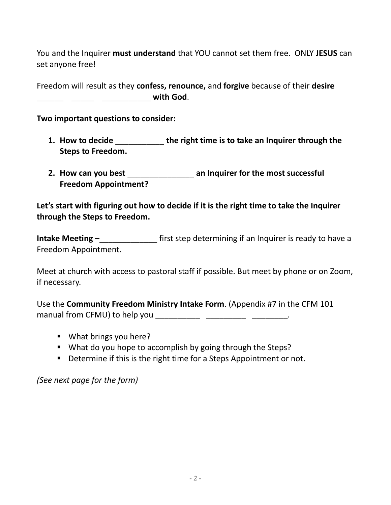You and the Inquirer **must understand** that YOU cannot set them free. ONLY **JESUS** can set anyone free!

Freedom will result as they **confess, renounce,** and **forgive** because of their **desire**  \_\_\_\_\_\_ \_\_\_\_\_ \_\_\_\_\_\_\_\_\_\_\_ **with God**.

**Two important questions to consider:**

- **1. How to decide** \_\_\_\_\_\_\_\_\_\_\_ **the right time is to take an Inquirer through the Steps to Freedom.**
- **2. How can you best** \_\_\_\_\_\_\_\_\_\_\_\_\_\_\_ **an Inquirer for the most successful Freedom Appointment?**

#### **Let's start with figuring out how to decide if it is the right time to take the Inquirer through the Steps to Freedom.**

**Intake Meeting – The Constant of State State of the Constant of the Constant of The Intake Meeting – The Constant of The Integration of the Constant of the Constant of the Constant of the Constant of the Constant of the C** Freedom Appointment.

Meet at church with access to pastoral staff if possible. But meet by phone or on Zoom, if necessary.

Use the **Community Freedom Ministry Intake Form**. (Appendix #7 in the CFM 101 manual from CFMU) to help you **with the set of the set of the set of the set of the set of the set of the set of the set of the set of the set of the set of the set of the set of the set of the set of the set of the set of** 

- What brings you here?
- What do you hope to accomplish by going through the Steps?
- Determine if this is the right time for a Steps Appointment or not.

*(See next page for the form)*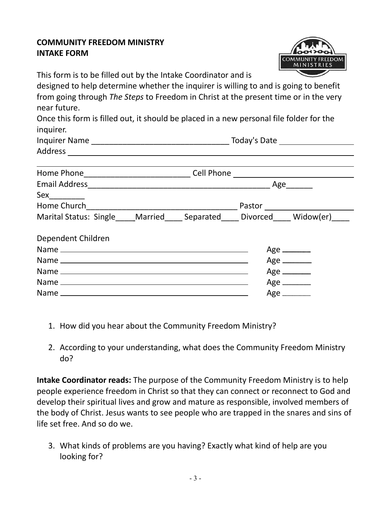#### **COMMUNITY FREEDOM MINISTRY INTAKE FORM**



Inquires Date Letter Name of Today's Date

This form is to be filled out by the Intake Coordinator and is

designed to help determine whether the inquirer is willing to and is going to benefit from going through *The Steps* to Freedom in Christ at the present time or in the very near future.

Once this form is filled out, it should be placed in a new personal file folder for the inquirer.

| <b>Inquirer Name</b> |  |
|----------------------|--|
| Address              |  |

| Home Phone 2008 2010 10:00:00 Phone 2010 10:00:00 Phone 2010 10:00:00 Phone 2010 2010 2010 2010 2010 2010 2010 |                                    |
|----------------------------------------------------------------------------------------------------------------|------------------------------------|
|                                                                                                                | Age                                |
|                                                                                                                |                                    |
|                                                                                                                |                                    |
| Marital Status: Single Married Separated Divorced Widow(er)                                                    |                                    |
| Dependent Children                                                                                             |                                    |
|                                                                                                                | Age $\_\_\_\_\_\_\_\_\_\_\_\_\_\_$ |
|                                                                                                                | Age _______                        |
|                                                                                                                | $Age$ <sub>_________</sub>         |
|                                                                                                                | $Age$ <sub>__________</sub>        |
|                                                                                                                | $Age$ <sub>_________</sub>         |

- 1. How did you hear about the Community Freedom Ministry?
- 2. According to your understanding, what does the Community Freedom Ministry do?

**Intake Coordinator reads:** The purpose of the Community Freedom Ministry is to help people experience freedom in Christ so that they can connect or reconnect to God and develop their spiritual lives and grow and mature as responsible, involved members of the body of Christ. Jesus wants to see people who are trapped in the snares and sins of life set free. And so do we.

3. What kinds of problems are you having? Exactly what kind of help are you looking for?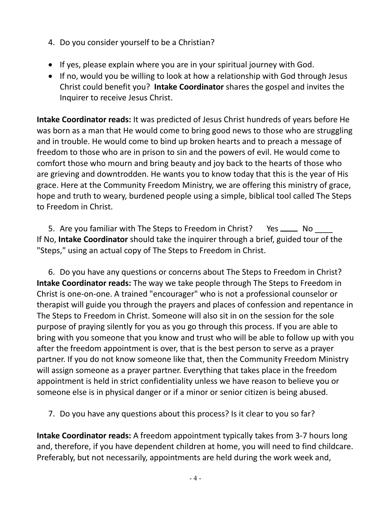- 4. Do you consider yourself to be a Christian?
- If yes, please explain where you are in your spiritual journey with God.
- If no, would you be willing to look at how a relationship with God through Jesus Christ could benefit you? **Intake Coordinator** shares the gospel and invites the Inquirer to receive Jesus Christ.

**Intake Coordinator reads:** It was predicted of Jesus Christ hundreds of years before He was born as a man that He would come to bring good news to those who are struggling and in trouble. He would come to bind up broken hearts and to preach a message of freedom to those who are in prison to sin and the powers of evil. He would come to comfort those who mourn and bring beauty and joy back to the hearts of those who are grieving and downtrodden. He wants you to know today that this is the year of His grace. Here at the Community Freedom Ministry, we are offering this ministry of grace, hope and truth to weary, burdened people using a simple, biblical tool called The Steps to Freedom in Christ.

5. Are you familiar with The Steps to Freedom in Christ? Yes \_\_\_\_\_ No If No, **Intake Coordinator** should take the inquirer through a brief, guided tour of the "Steps," using an actual copy of The Steps to Freedom in Christ.

6. Do you have any questions or concerns about The Steps to Freedom in Christ? **Intake Coordinator reads:** The way we take people through The Steps to Freedom in Christ is one-on-one. A trained "encourager" who is not a professional counselor or therapist will guide you through the prayers and places of confession and repentance in The Steps to Freedom in Christ. Someone will also sit in on the session for the sole purpose of praying silently for you as you go through this process. If you are able to bring with you someone that you know and trust who will be able to follow up with you after the freedom appointment is over, that is the best person to serve as a prayer partner. If you do not know someone like that, then the Community Freedom Ministry will assign someone as a prayer partner. Everything that takes place in the freedom appointment is held in strict confidentiality unless we have reason to believe you or someone else is in physical danger or if a minor or senior citizen is being abused.

7. Do you have any questions about this process? Is it clear to you so far?

**Intake Coordinator reads:** A freedom appointment typically takes from 3-7 hours long and, therefore, if you have dependent children at home, you will need to find childcare. Preferably, but not necessarily, appointments are held during the work week and,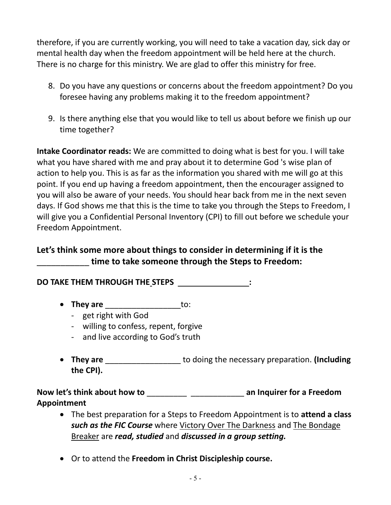therefore, if you are currently working, you will need to take a vacation day, sick day or mental health day when the freedom appointment will be held here at the church. There is no charge for this ministry. We are glad to offer this ministry for free.

- 8. Do you have any questions or concerns about the freedom appointment? Do you foresee having any problems making it to the freedom appointment?
- 9. Is there anything else that you would like to tell us about before we finish up our time together?

**Intake Coordinator reads:** We are committed to doing what is best for you. I will take what you have shared with me and pray about it to determine God 's wise plan of action to help you. This is as far as the information you shared with me will go at this point. If you end up having a freedom appointment, then the encourager assigned to you will also be aware of your needs. You should hear back from me in the next seven days. If God shows me that this is the time to take you through the Steps to Freedom, I will give you a Confidential Personal Inventory (CPI) to fill out before we schedule your Freedom Appointment.

# **Let's think some more about things to consider in determining if it is the**  \_\_\_\_\_\_\_\_\_\_\_ **time to take someone through the Steps to Freedom:**

**DO TAKE THEM THROUGH THE STEPS** \_\_\_\_\_\_\_\_\_\_\_\_\_\_\_\_**:**

- **They are** \_\_\_\_\_\_\_\_\_\_\_\_\_\_\_\_\_to:
	- get right with God
	- willing to confess, repent, forgive
	- and live according to God's truth
- **They are** \_\_\_\_\_\_\_\_\_\_\_\_\_\_\_\_\_ to doing the necessary preparation. **(Including the CPI).**

**Now let's think about how to** \_\_\_\_\_\_\_\_\_ \_\_\_\_\_\_\_\_\_\_\_\_ **an Inquirer for a Freedom Appointment** 

- The best preparation for a Steps to Freedom Appointment is to **attend a class** *such as the FIC Course* where Victory Over The Darkness and The Bondage Breaker are *read, studied* and *discussed in a group setting.*
- Or to attend the **Freedom in Christ Discipleship course.**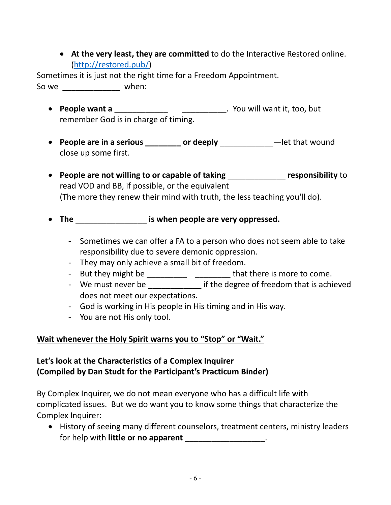• **At the very least, they are committed** to do the Interactive Restored online. [\(http://restored.pub/\)](http://restored.pub/)

Sometimes it is just not the right time for a Freedom Appointment. So we \_\_\_\_\_\_\_\_\_\_\_\_\_\_\_\_\_\_ when:

- **People want a** \_\_\_\_\_\_\_\_\_\_\_\_ \_\_\_\_\_\_\_\_\_\_. You will want it, too, but remember God is in charge of timing.
- **People are in a serious \_\_\_\_\_\_\_\_ or deeply** \_\_\_\_\_\_\_\_\_\_\_\_—let that wound close up some first.
- **People are not willing to or capable of taking** \_\_\_\_\_\_\_\_\_\_\_\_\_ **responsibility** to read VOD and BB, if possible, or the equivalent (The more they renew their mind with truth, the less teaching you'll do).
- **The** \_\_\_\_\_\_\_\_\_\_\_\_\_\_\_\_ **is when people are very oppressed.**
	- Sometimes we can offer a FA to a person who does not seem able to take responsibility due to severe demonic oppression.
	- They may only achieve a small bit of freedom.
	- But they might be \_\_\_\_\_\_\_\_\_\_\_\_\_\_\_\_\_\_\_\_\_\_\_\_\_ that there is more to come.
	- We must never be **the interest if the degree of freedom that is achieved** does not meet our expectations.
	- God is working in His people in His timing and in His way.
	- You are not His only tool.

### **Wait whenever the Holy Spirit warns you to "Stop" or "Wait."**

#### **Let's look at the Characteristics of a Complex Inquirer (Compiled by Dan Studt for the Participant's Practicum Binder)**

By Complex Inquirer, we do not mean everyone who has a difficult life with complicated issues. But we do want you to know some things that characterize the Complex Inquirer:

• History of seeing many different counselors, treatment centers, ministry leaders for help with **little or no apparent** \_\_\_\_\_\_\_\_\_\_\_\_\_\_\_\_\_\_.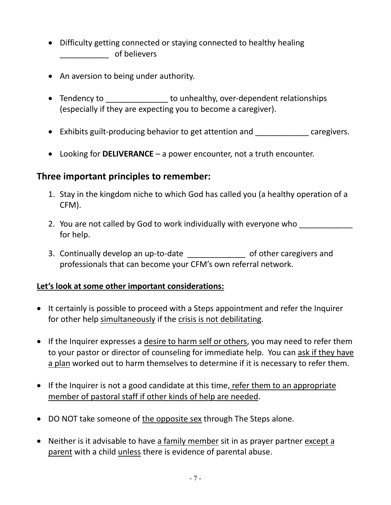- Difficulty getting connected or staying connected to healthy healing \_\_\_\_\_\_\_\_\_\_\_ of believers
- An aversion to being under authority.
- Tendency to **Tendency** to unhealthy, over-dependent relationships (especially if they are expecting you to become a caregiver).
- Exhibits guilt-producing behavior to get attention and caregivers.
- Looking for **DELIVERANCE** a power encounter, not a truth encounter.

## **Three important principles to remember:**

- 1. Stay in the kingdom niche to which God has called you (a healthy operation of a CFM).
- 2. You are not called by God to work individually with everyone who for help.
- 3. Continually develop an up-to-date \_\_\_\_\_\_\_\_\_\_\_\_\_\_\_\_ of other caregivers and professionals that can become your CFM's own referral network.

### **Let's look at some other important considerations:**

- It certainly is possible to proceed with a Steps appointment and refer the Inquirer for other help simultaneously if the crisis is not debilitating.
- If the Inquirer expresses a desire to harm self or others, you may need to refer them to your pastor or director of counseling for immediate help. You can ask if they have a plan worked out to harm themselves to determine if it is necessary to refer them.
- If the Inquirer is not a good candidate at this time, refer them to an appropriate member of pastoral staff if other kinds of help are needed.
- DO NOT take someone of the opposite sex through The Steps alone.
- Neither is it advisable to have a family member sit in as prayer partner except a parent with a child unless there is evidence of parental abuse.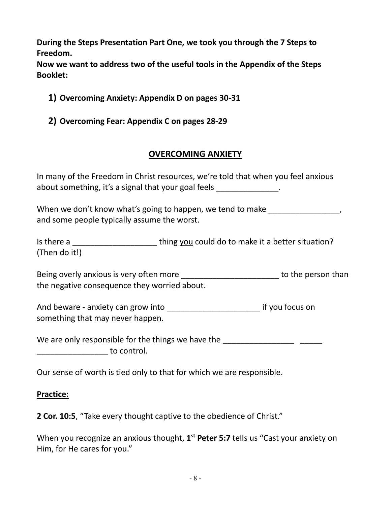**During the Steps Presentation Part One, we took you through the 7 Steps to Freedom.** 

**Now we want to address two of the useful tools in the Appendix of the Steps Booklet:**

- **1) Overcoming Anxiety: Appendix D on pages 30-31**
- **2) Overcoming Fear: Appendix C on pages 28-29**

## **OVERCOMING ANXIETY**

In many of the Freedom in Christ resources, we're told that when you feel anxious about something, it's a signal that your goal feels \_\_\_\_\_\_\_\_\_\_\_\_\_\_.

When we don't know what's going to happen, we tend to make  $\sim$ and some people typically assume the worst.

Is there a \_\_\_\_\_\_\_\_\_\_\_\_\_\_\_\_\_\_\_\_\_\_\_\_\_\_\_\_ thing you could do to make it a better situation? (Then do it!)

Being overly anxious is very often more \_\_\_\_\_\_\_\_\_\_\_\_\_\_\_\_\_\_\_\_\_\_ to the person than the negative consequence they worried about.

And beware - anxiety can grow into entity and the same if you focus on something that may never happen.

We are only responsible for the things we have the **We are only responsible for the things** we have the  $\overline{\phantom{a}}$  to control.

Our sense of worth is tied only to that for which we are responsible.

#### **Practice:**

**2 Cor. 10:5**, "Take every thought captive to the obedience of Christ."

When you recognize an anxious thought, 1<sup>st</sup> Peter 5:7 tells us "Cast your anxiety on Him, for He cares for you."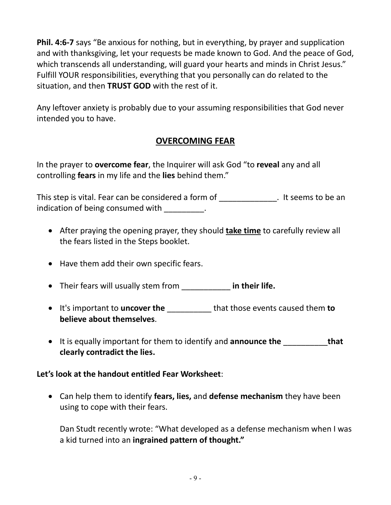**Phil. 4:6-7** says "Be anxious for nothing, but in everything, by prayer and supplication and with thanksgiving, let your requests be made known to God. And the peace of God, which transcends all understanding, will guard your hearts and minds in Christ Jesus." Fulfill YOUR responsibilities, everything that you personally can do related to the situation, and then **TRUST GOD** with the rest of it.

Any leftover anxiety is probably due to your assuming responsibilities that God never intended you to have.

# **OVERCOMING FEAR**

In the prayer to **overcome fear**, the Inquirer will ask God "to **reveal** any and all controlling **fears** in my life and the **lies** behind them."

This step is vital. Fear can be considered a form of This step is vital. Fear can be considered a form of indication of being consumed with  $\qquad \qquad$ .

- After praying the opening prayer, they should **take time** to carefully review all the fears listed in the Steps booklet.
- Have them add their own specific fears.
- Their fears will usually stem from \_\_\_\_\_\_\_\_\_\_\_ **in their life.**
- It's important to **uncover the** \_\_\_\_\_\_\_\_\_\_ that those events caused them **to believe about themselves**.
- It is equally important for them to identify and **announce the** \_\_\_\_\_\_\_\_\_\_**that clearly contradict the lies.**

### **Let's look at the handout entitled Fear Worksheet**:

• Can help them to identify **fears, lies,** and **defense mechanism** they have been using to cope with their fears.

Dan Studt recently wrote: "What developed as a defense mechanism when I was a kid turned into an **ingrained pattern of thought."**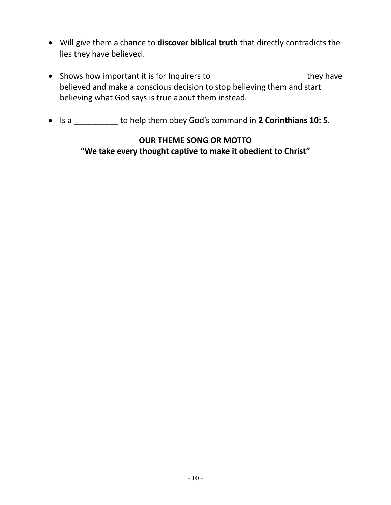- Will give them a chance to **discover biblical truth** that directly contradicts the lies they have believed.
- Shows how important it is for Inquirers to \_\_\_\_\_\_\_\_\_\_\_\_\_\_\_\_\_\_\_\_\_\_\_\_\_\_they have believed and make a conscious decision to stop believing them and start believing what God says is true about them instead.
- Is a \_\_\_\_\_\_\_\_\_\_ to help them obey God's command in **2 Corinthians 10: 5**.

### **OUR THEME SONG OR MOTTO**

**"We take every thought captive to make it obedient to Christ"**